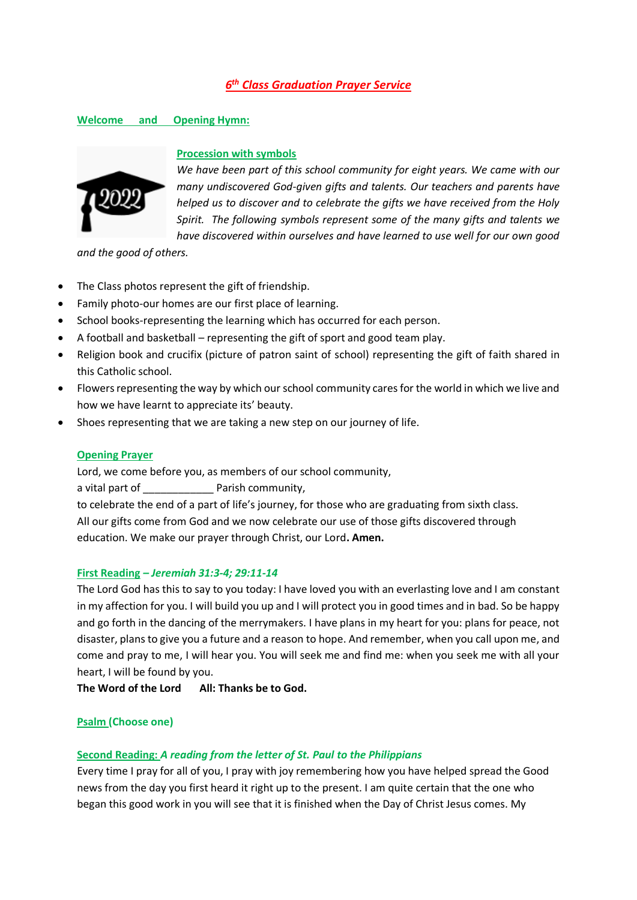# *6 th Class Graduation Prayer Service*

## **Welcome and Opening Hymn:**



#### **Procession with symbols**

*We have been part of this school community for eight years. We came with our many undiscovered God-given gifts and talents. Our teachers and parents have helped us to discover and to celebrate the gifts we have received from the Holy Spirit. The following symbols represent some of the many gifts and talents we have discovered within ourselves and have learned to use well for our own good* 

*and the good of others.* 

- The Class photos represent the gift of friendship.
- Family photo-our homes are our first place of learning.
- School books-representing the learning which has occurred for each person.
- A football and basketball representing the gift of sport and good team play.
- Religion book and crucifix (picture of patron saint of school) representing the gift of faith shared in this Catholic school.
- Flowers representing the way by which our school community cares for the world in which we live and how we have learnt to appreciate its' beauty.
- Shoes representing that we are taking a new step on our journey of life.

#### **Opening Prayer**

Lord, we come before you, as members of our school community,

a vital part of **Example 2** Parish community,

to celebrate the end of a part of life's journey, for those who are graduating from sixth class. All our gifts come from God and we now celebrate our use of those gifts discovered through education. We make our prayer through Christ, our Lord**. Amen.**

#### **First Reading** *– Jeremiah 31:3-4; 29:11-14*

The Lord God has this to say to you today: I have loved you with an everlasting love and I am constant in my affection for you. I will build you up and I will protect you in good times and in bad. So be happy and go forth in the dancing of the merrymakers. I have plans in my heart for you: plans for peace, not disaster, plans to give you a future and a reason to hope. And remember, when you call upon me, and come and pray to me, I will hear you. You will seek me and find me: when you seek me with all your heart, I will be found by you.

**The Word of the Lord All: Thanks be to God.**

#### **Psalm (Choose one)**

#### **Second Reading:** *A reading from the letter of St. Paul to the Philippians*

Every time I pray for all of you, I pray with joy remembering how you have helped spread the Good news from the day you first heard it right up to the present. I am quite certain that the one who began this good work in you will see that it is finished when the Day of Christ Jesus comes. My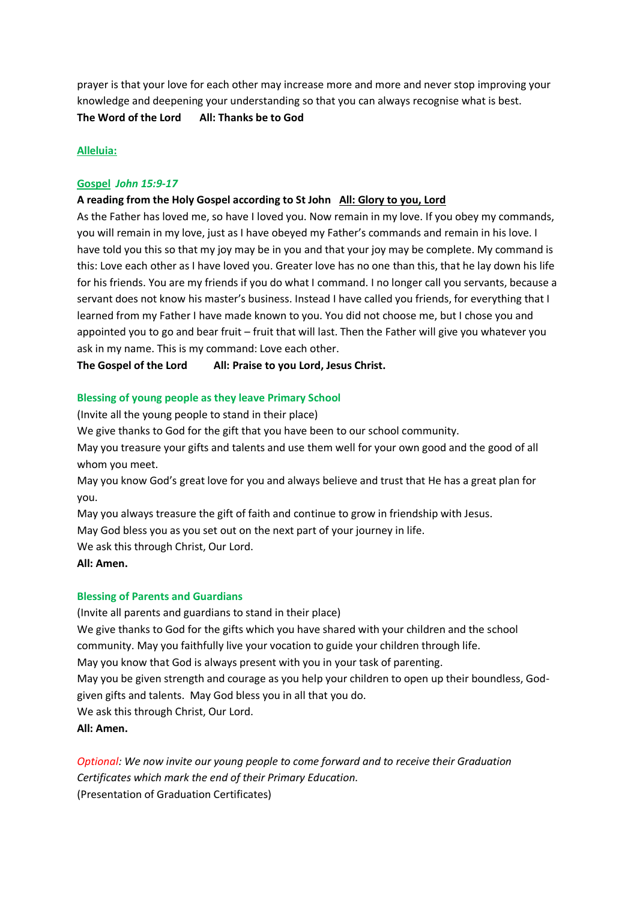prayer is that your love for each other may increase more and more and never stop improving your knowledge and deepening your understanding so that you can always recognise what is best. **The Word of the Lord All: Thanks be to God**

## **Alleluia:**

## **Gospel** *John 15:9-17*

## **A reading from the Holy Gospel according to St John All: Glory to you, Lord**

As the Father has loved me, so have I loved you. Now remain in my love. If you obey my commands, you will remain in my love, just as I have obeyed my Father's commands and remain in his love. I have told you this so that my joy may be in you and that your joy may be complete. My command is this: Love each other as I have loved you. Greater love has no one than this, that he lay down his life for his friends. You are my friends if you do what I command. I no longer call you servants, because a servant does not know his master's business. Instead I have called you friends, for everything that I learned from my Father I have made known to you. You did not choose me, but I chose you and appointed you to go and bear fruit – fruit that will last. Then the Father will give you whatever you ask in my name. This is my command: Love each other.

**The Gospel of the Lord All: Praise to you Lord, Jesus Christ.** 

## **Blessing of young people as they leave Primary School**

(Invite all the young people to stand in their place)

We give thanks to God for the gift that you have been to our school community.

May you treasure your gifts and talents and use them well for your own good and the good of all whom you meet.

May you know God's great love for you and always believe and trust that He has a great plan for you.

May you always treasure the gift of faith and continue to grow in friendship with Jesus.

May God bless you as you set out on the next part of your journey in life.

We ask this through Christ, Our Lord.

**All: Amen.**

#### **Blessing of Parents and Guardians**

(Invite all parents and guardians to stand in their place)

We give thanks to God for the gifts which you have shared with your children and the school community. May you faithfully live your vocation to guide your children through life.

May you know that God is always present with you in your task of parenting.

May you be given strength and courage as you help your children to open up their boundless, Godgiven gifts and talents. May God bless you in all that you do.

We ask this through Christ, Our Lord.

**All: Amen.**

*Optional: We now invite our young people to come forward and to receive their Graduation Certificates which mark the end of their Primary Education.* (Presentation of Graduation Certificates)